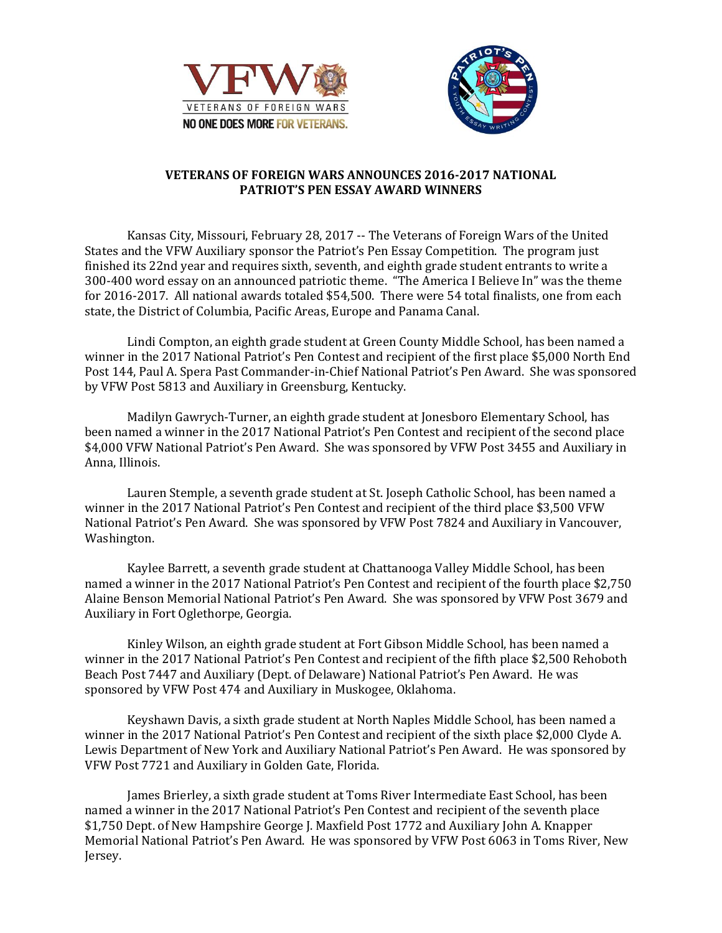



## **VETERANS OF FOREIGN WARS ANNOUNCES 2016-2017 NATIONAL PATRIOT'S PEN ESSAY AWARD WINNERS**

Kansas City, Missouri, February 28, 2017 -- The Veterans of Foreign Wars of the United States and the VFW Auxiliary sponsor the Patriot's Pen Essay Competition. The program just finished its 22nd year and requires sixth, seventh, and eighth grade student entrants to write a 300-400 word essay on an announced patriotic theme. "The America I Believe In" was the theme for 2016-2017. All national awards totaled \$54,500. There were 54 total finalists, one from each state, the District of Columbia, Pacific Areas, Europe and Panama Canal.

Lindi Compton, an eighth grade student at Green County Middle School, has been named a winner in the 2017 National Patriot's Pen Contest and recipient of the first place \$5,000 North End Post 144, Paul A. Spera Past Commander-in-Chief National Patriot's Pen Award. She was sponsored by VFW Post 5813 and Auxiliary in Greensburg, Kentucky.

Madilyn Gawrych-Turner, an eighth grade student at Jonesboro Elementary School, has been named a winner in the 2017 National Patriot's Pen Contest and recipient of the second place \$4,000 VFW National Patriot's Pen Award. She was sponsored by VFW Post 3455 and Auxiliary in Anna, Illinois.

Lauren Stemple, a seventh grade student at St. Joseph Catholic School, has been named a winner in the 2017 National Patriot's Pen Contest and recipient of the third place \$3,500 VFW National Patriot's Pen Award. She was sponsored by VFW Post 7824 and Auxiliary in Vancouver, Washington.

Kaylee Barrett, a seventh grade student at Chattanooga Valley Middle School, has been named a winner in the 2017 National Patriot's Pen Contest and recipient of the fourth place \$2,750 Alaine Benson Memorial National Patriot's Pen Award. She was sponsored by VFW Post 3679 and Auxiliary in Fort Oglethorpe, Georgia.

Kinley Wilson, an eighth grade student at Fort Gibson Middle School, has been named a winner in the 2017 National Patriot's Pen Contest and recipient of the fifth place \$2,500 Rehoboth Beach Post 7447 and Auxiliary (Dept. of Delaware) National Patriot's Pen Award. He was sponsored by VFW Post 474 and Auxiliary in Muskogee, Oklahoma.

Keyshawn Davis, a sixth grade student at North Naples Middle School, has been named a winner in the 2017 National Patriot's Pen Contest and recipient of the sixth place \$2,000 Clyde A. Lewis Department of New York and Auxiliary National Patriot's Pen Award. He was sponsored by VFW Post 7721 and Auxiliary in Golden Gate, Florida.

James Brierley, a sixth grade student at Toms River Intermediate East School, has been named a winner in the 2017 National Patriot's Pen Contest and recipient of the seventh place \$1,750 Dept. of New Hampshire George J. Maxfield Post 1772 and Auxiliary John A. Knapper Memorial National Patriot's Pen Award. He was sponsored by VFW Post 6063 in Toms River, New Jersey.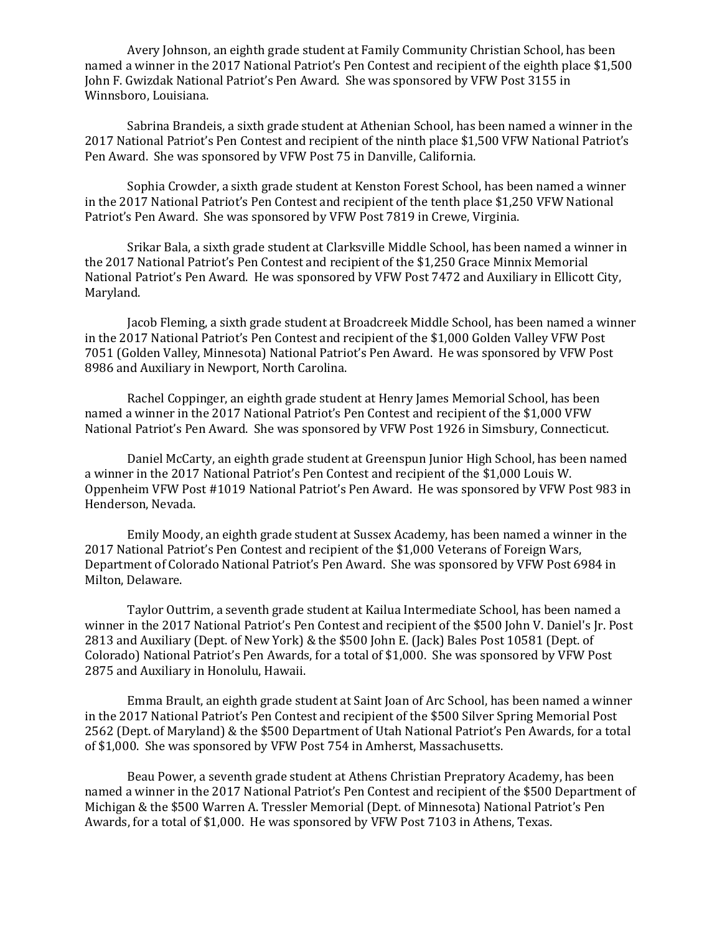Avery Johnson, an eighth grade student at Family Community Christian School, has been named a winner in the 2017 National Patriot's Pen Contest and recipient of the eighth place \$1,500 John F. Gwizdak National Patriot's Pen Award. She was sponsored by VFW Post 3155 in Winnsboro, Louisiana.

Sabrina Brandeis, a sixth grade student at Athenian School, has been named a winner in the 2017 National Patriot's Pen Contest and recipient of the ninth place \$1,500 VFW National Patriot's Pen Award. She was sponsored by VFW Post 75 in Danville, California.

Sophia Crowder, a sixth grade student at Kenston Forest School, has been named a winner in the 2017 National Patriot's Pen Contest and recipient of the tenth place \$1,250 VFW National Patriot's Pen Award. She was sponsored by VFW Post 7819 in Crewe, Virginia.

Srikar Bala, a sixth grade student at Clarksville Middle School, has been named a winner in the 2017 National Patriot's Pen Contest and recipient of the \$1,250 Grace Minnix Memorial National Patriot's Pen Award. He was sponsored by VFW Post 7472 and Auxiliary in Ellicott City, Maryland.

Jacob Fleming, a sixth grade student at Broadcreek Middle School, has been named a winner in the 2017 National Patriot's Pen Contest and recipient of the \$1,000 Golden Valley VFW Post 7051 (Golden Valley, Minnesota) National Patriot's Pen Award. He was sponsored by VFW Post 8986 and Auxiliary in Newport, North Carolina.

Rachel Coppinger, an eighth grade student at Henry James Memorial School, has been named a winner in the 2017 National Patriot's Pen Contest and recipient of the \$1,000 VFW National Patriot's Pen Award. She was sponsored by VFW Post 1926 in Simsbury, Connecticut.

Daniel McCarty, an eighth grade student at Greenspun Junior High School, has been named a winner in the 2017 National Patriot's Pen Contest and recipient of the \$1,000 Louis W. Oppenheim VFW Post #1019 National Patriot's Pen Award. He was sponsored by VFW Post 983 in Henderson, Nevada.

Emily Moody, an eighth grade student at Sussex Academy, has been named a winner in the 2017 National Patriot's Pen Contest and recipient of the \$1,000 Veterans of Foreign Wars, Department of Colorado National Patriot's Pen Award. She was sponsored by VFW Post 6984 in Milton, Delaware.

Taylor Outtrim, a seventh grade student at Kailua Intermediate School, has been named a winner in the 2017 National Patriot's Pen Contest and recipient of the \$500 John V. Daniel's Jr. Post 2813 and Auxiliary (Dept. of New York) & the \$500 John E. (Jack) Bales Post 10581 (Dept. of Colorado) National Patriot's Pen Awards, for a total of \$1,000. She was sponsored by VFW Post 2875 and Auxiliary in Honolulu, Hawaii.

Emma Brault, an eighth grade student at Saint Joan of Arc School, has been named a winner in the 2017 National Patriot's Pen Contest and recipient of the \$500 Silver Spring Memorial Post 2562 (Dept. of Maryland) & the \$500 Department of Utah National Patriot's Pen Awards, for a total of \$1,000. She was sponsored by VFW Post 754 in Amherst, Massachusetts.

Beau Power, a seventh grade student at Athens Christian Prepratory Academy, has been named a winner in the 2017 National Patriot's Pen Contest and recipient of the \$500 Department of Michigan & the \$500 Warren A. Tressler Memorial (Dept. of Minnesota) National Patriot's Pen Awards, for a total of \$1,000. He was sponsored by VFW Post 7103 in Athens, Texas.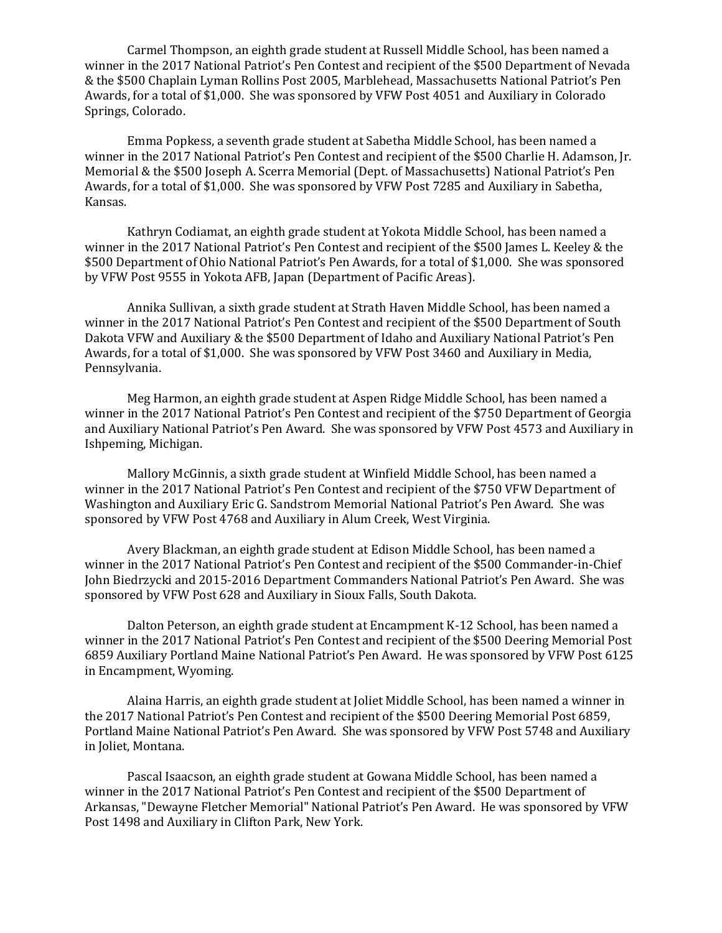Carmel Thompson, an eighth grade student at Russell Middle School, has been named a winner in the 2017 National Patriot's Pen Contest and recipient of the \$500 Department of Nevada & the \$500 Chaplain Lyman Rollins Post 2005, Marblehead, Massachusetts National Patriot's Pen Awards, for a total of \$1,000. She was sponsored by VFW Post 4051 and Auxiliary in Colorado Springs, Colorado.

Emma Popkess, a seventh grade student at Sabetha Middle School, has been named a winner in the 2017 National Patriot's Pen Contest and recipient of the \$500 Charlie H. Adamson, Jr. Memorial & the \$500 Joseph A. Scerra Memorial (Dept. of Massachusetts) National Patriot's Pen Awards, for a total of \$1,000. She was sponsored by VFW Post 7285 and Auxiliary in Sabetha, Kansas.

Kathryn Codiamat, an eighth grade student at Yokota Middle School, has been named a winner in the 2017 National Patriot's Pen Contest and recipient of the \$500 James L. Keeley & the \$500 Department of Ohio National Patriot's Pen Awards, for a total of \$1,000. She was sponsored by VFW Post 9555 in Yokota AFB, Japan (Department of Pacific Areas).

Annika Sullivan, a sixth grade student at Strath Haven Middle School, has been named a winner in the 2017 National Patriot's Pen Contest and recipient of the \$500 Department of South Dakota VFW and Auxiliary & the \$500 Department of Idaho and Auxiliary National Patriot's Pen Awards, for a total of \$1,000. She was sponsored by VFW Post 3460 and Auxiliary in Media, Pennsylvania.

Meg Harmon, an eighth grade student at Aspen Ridge Middle School, has been named a winner in the 2017 National Patriot's Pen Contest and recipient of the \$750 Department of Georgia and Auxiliary National Patriot's Pen Award. She was sponsored by VFW Post 4573 and Auxiliary in Ishpeming, Michigan.

Mallory McGinnis, a sixth grade student at Winfield Middle School, has been named a winner in the 2017 National Patriot's Pen Contest and recipient of the \$750 VFW Department of Washington and Auxiliary Eric G. Sandstrom Memorial National Patriot's Pen Award. She was sponsored by VFW Post 4768 and Auxiliary in Alum Creek, West Virginia.

Avery Blackman, an eighth grade student at Edison Middle School, has been named a winner in the 2017 National Patriot's Pen Contest and recipient of the \$500 Commander-in-Chief John Biedrzycki and 2015-2016 Department Commanders National Patriot's Pen Award. She was sponsored by VFW Post 628 and Auxiliary in Sioux Falls, South Dakota.

Dalton Peterson, an eighth grade student at Encampment K-12 School, has been named a winner in the 2017 National Patriot's Pen Contest and recipient of the \$500 Deering Memorial Post 6859 Auxiliary Portland Maine National Patriot's Pen Award. He was sponsored by VFW Post 6125 in Encampment, Wyoming.

Alaina Harris, an eighth grade student at Joliet Middle School, has been named a winner in the 2017 National Patriot's Pen Contest and recipient of the \$500 Deering Memorial Post 6859, Portland Maine National Patriot's Pen Award. She was sponsored by VFW Post 5748 and Auxiliary in Joliet, Montana.

Pascal Isaacson, an eighth grade student at Gowana Middle School, has been named a winner in the 2017 National Patriot's Pen Contest and recipient of the \$500 Department of Arkansas, "Dewayne Fletcher Memorial" National Patriot's Pen Award. He was sponsored by VFW Post 1498 and Auxiliary in Clifton Park, New York.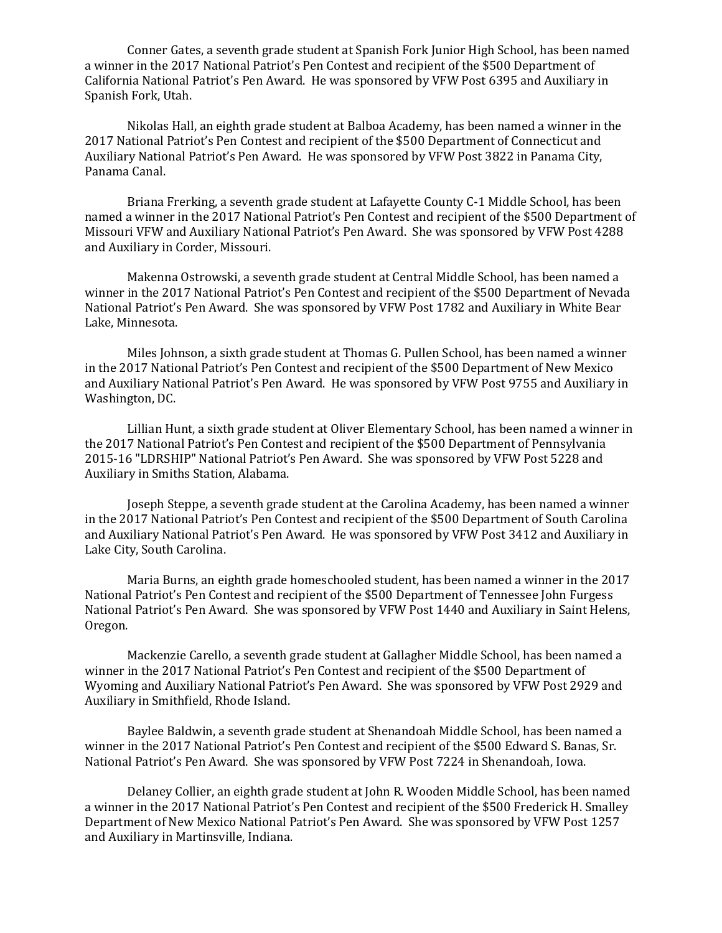Conner Gates, a seventh grade student at Spanish Fork Junior High School, has been named a winner in the 2017 National Patriot's Pen Contest and recipient of the \$500 Department of California National Patriot's Pen Award. He was sponsored by VFW Post 6395 and Auxiliary in Spanish Fork, Utah.

Nikolas Hall, an eighth grade student at Balboa Academy, has been named a winner in the 2017 National Patriot's Pen Contest and recipient of the \$500 Department of Connecticut and Auxiliary National Patriot's Pen Award. He was sponsored by VFW Post 3822 in Panama City, Panama Canal.

Briana Frerking, a seventh grade student at Lafayette County C-1 Middle School, has been named a winner in the 2017 National Patriot's Pen Contest and recipient of the \$500 Department of Missouri VFW and Auxiliary National Patriot's Pen Award. She was sponsored by VFW Post 4288 and Auxiliary in Corder, Missouri.

Makenna Ostrowski, a seventh grade student at Central Middle School, has been named a winner in the 2017 National Patriot's Pen Contest and recipient of the \$500 Department of Nevada National Patriot's Pen Award. She was sponsored by VFW Post 1782 and Auxiliary in White Bear Lake, Minnesota.

Miles Johnson, a sixth grade student at Thomas G. Pullen School, has been named a winner in the 2017 National Patriot's Pen Contest and recipient of the \$500 Department of New Mexico and Auxiliary National Patriot's Pen Award. He was sponsored by VFW Post 9755 and Auxiliary in Washington, DC.

Lillian Hunt, a sixth grade student at Oliver Elementary School, has been named a winner in the 2017 National Patriot's Pen Contest and recipient of the \$500 Department of Pennsylvania 2015-16 "LDRSHIP" National Patriot's Pen Award. She was sponsored by VFW Post 5228 and Auxiliary in Smiths Station, Alabama.

Joseph Steppe, a seventh grade student at the Carolina Academy, has been named a winner in the 2017 National Patriot's Pen Contest and recipient of the \$500 Department of South Carolina and Auxiliary National Patriot's Pen Award. He was sponsored by VFW Post 3412 and Auxiliary in Lake City, South Carolina.

Maria Burns, an eighth grade homeschooled student, has been named a winner in the 2017 National Patriot's Pen Contest and recipient of the \$500 Department of Tennessee John Furgess National Patriot's Pen Award. She was sponsored by VFW Post 1440 and Auxiliary in Saint Helens, Oregon.

Mackenzie Carello, a seventh grade student at Gallagher Middle School, has been named a winner in the 2017 National Patriot's Pen Contest and recipient of the \$500 Department of Wyoming and Auxiliary National Patriot's Pen Award. She was sponsored by VFW Post 2929 and Auxiliary in Smithfield, Rhode Island.

Baylee Baldwin, a seventh grade student at Shenandoah Middle School, has been named a winner in the 2017 National Patriot's Pen Contest and recipient of the \$500 Edward S. Banas, Sr. National Patriot's Pen Award. She was sponsored by VFW Post 7224 in Shenandoah, Iowa.

Delaney Collier, an eighth grade student at John R. Wooden Middle School, has been named a winner in the 2017 National Patriot's Pen Contest and recipient of the \$500 Frederick H. Smalley Department of New Mexico National Patriot's Pen Award. She was sponsored by VFW Post 1257 and Auxiliary in Martinsville, Indiana.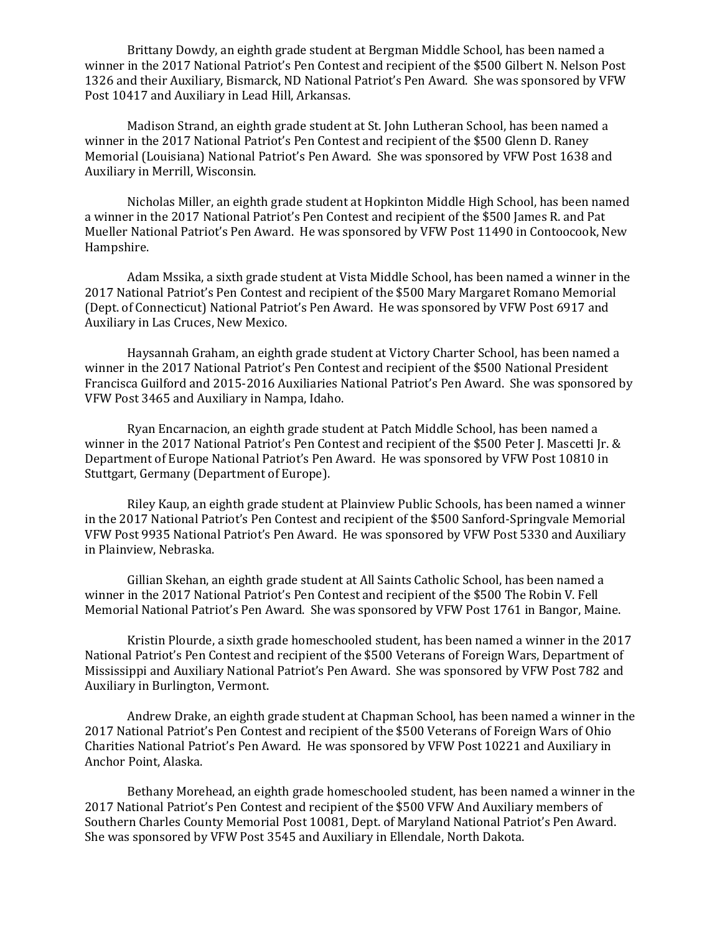Brittany Dowdy, an eighth grade student at Bergman Middle School, has been named a winner in the 2017 National Patriot's Pen Contest and recipient of the \$500 Gilbert N. Nelson Post 1326 and their Auxiliary, Bismarck, ND National Patriot's Pen Award. She was sponsored by VFW Post 10417 and Auxiliary in Lead Hill, Arkansas.

Madison Strand, an eighth grade student at St. John Lutheran School, has been named a winner in the 2017 National Patriot's Pen Contest and recipient of the \$500 Glenn D. Raney Memorial (Louisiana) National Patriot's Pen Award. She was sponsored by VFW Post 1638 and Auxiliary in Merrill, Wisconsin.

Nicholas Miller, an eighth grade student at Hopkinton Middle High School, has been named a winner in the 2017 National Patriot's Pen Contest and recipient of the \$500 James R. and Pat Mueller National Patriot's Pen Award. He was sponsored by VFW Post 11490 in Contoocook, New Hampshire.

Adam Mssika, a sixth grade student at Vista Middle School, has been named a winner in the 2017 National Patriot's Pen Contest and recipient of the \$500 Mary Margaret Romano Memorial (Dept. of Connecticut) National Patriot's Pen Award. He was sponsored by VFW Post 6917 and Auxiliary in Las Cruces, New Mexico.

Haysannah Graham, an eighth grade student at Victory Charter School, has been named a winner in the 2017 National Patriot's Pen Contest and recipient of the \$500 National President Francisca Guilford and 2015-2016 Auxiliaries National Patriot's Pen Award. She was sponsored by VFW Post 3465 and Auxiliary in Nampa, Idaho.

Ryan Encarnacion, an eighth grade student at Patch Middle School, has been named a winner in the 2017 National Patriot's Pen Contest and recipient of the \$500 Peter J. Mascetti Jr. & Department of Europe National Patriot's Pen Award. He was sponsored by VFW Post 10810 in Stuttgart, Germany (Department of Europe).

Riley Kaup, an eighth grade student at Plainview Public Schools, has been named a winner in the 2017 National Patriot's Pen Contest and recipient of the \$500 Sanford-Springvale Memorial VFW Post 9935 National Patriot's Pen Award. He was sponsored by VFW Post 5330 and Auxiliary in Plainview, Nebraska.

Gillian Skehan, an eighth grade student at All Saints Catholic School, has been named a winner in the 2017 National Patriot's Pen Contest and recipient of the \$500 The Robin V. Fell Memorial National Patriot's Pen Award. She was sponsored by VFW Post 1761 in Bangor, Maine.

Kristin Plourde, a sixth grade homeschooled student, has been named a winner in the 2017 National Patriot's Pen Contest and recipient of the \$500 Veterans of Foreign Wars, Department of Mississippi and Auxiliary National Patriot's Pen Award. She was sponsored by VFW Post 782 and Auxiliary in Burlington, Vermont.

Andrew Drake, an eighth grade student at Chapman School, has been named a winner in the 2017 National Patriot's Pen Contest and recipient of the \$500 Veterans of Foreign Wars of Ohio Charities National Patriot's Pen Award. He was sponsored by VFW Post 10221 and Auxiliary in Anchor Point, Alaska.

Bethany Morehead, an eighth grade homeschooled student, has been named a winner in the 2017 National Patriot's Pen Contest and recipient of the \$500 VFW And Auxiliary members of Southern Charles County Memorial Post 10081, Dept. of Maryland National Patriot's Pen Award. She was sponsored by VFW Post 3545 and Auxiliary in Ellendale, North Dakota.